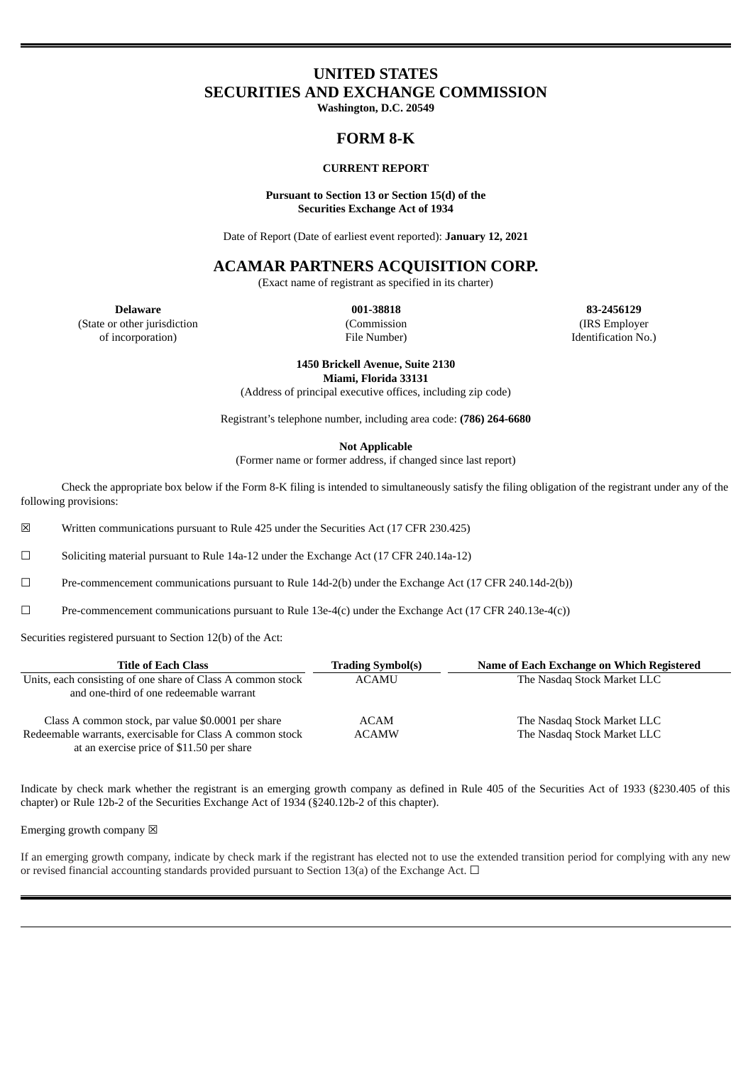# **UNITED STATES SECURITIES AND EXCHANGE COMMISSION**

**Washington, D.C. 20549**

## **FORM 8-K**

## **CURRENT REPORT**

#### **Pursuant to Section 13 or Section 15(d) of the Securities Exchange Act of 1934**

Date of Report (Date of earliest event reported): **January 12, 2021**

## **ACAMAR PARTNERS ACQUISITION CORP.**

(Exact name of registrant as specified in its charter)

**Delaware 001-38818 83-2456129** (State or other jurisdiction of incorporation)

(Commission File Number)

(IRS Employer Identification No.)

**1450 Brickell Avenue, Suite 2130 Miami, Florida 33131**

(Address of principal executive offices, including zip code)

Registrant's telephone number, including area code: **(786) 264-6680**

**Not Applicable**

(Former name or former address, if changed since last report)

Check the appropriate box below if the Form 8-K filing is intended to simultaneously satisfy the filing obligation of the registrant under any of the following provisions:

☒ Written communications pursuant to Rule 425 under the Securities Act (17 CFR 230.425)

☐ Soliciting material pursuant to Rule 14a-12 under the Exchange Act (17 CFR 240.14a-12)

☐ Pre-commencement communications pursuant to Rule 14d-2(b) under the Exchange Act (17 CFR 240.14d-2(b))

☐ Pre-commencement communications pursuant to Rule 13e-4(c) under the Exchange Act (17 CFR 240.13e-4(c))

Securities registered pursuant to Section 12(b) of the Act:

| <b>Title of Each Class</b>                                                                             | <b>Trading Symbol(s)</b> | Name of Each Exchange on Which Registered |
|--------------------------------------------------------------------------------------------------------|--------------------------|-------------------------------------------|
| Units, each consisting of one share of Class A common stock<br>and one-third of one redeemable warrant | <b>ACAMU</b>             | The Nasdaq Stock Market LLC               |
| Class A common stock, par value \$0.0001 per share                                                     | ACAM                     | The Nasdaq Stock Market LLC               |
| Redeemable warrants, exercisable for Class A common stock<br>at an exercise price of \$11.50 per share | <b>ACAMW</b>             | The Nasdaq Stock Market LLC               |

Indicate by check mark whether the registrant is an emerging growth company as defined in Rule 405 of the Securities Act of 1933 (§230.405 of this chapter) or Rule 12b-2 of the Securities Exchange Act of 1934 (§240.12b-2 of this chapter).

Emerging growth company  $\boxtimes$ 

If an emerging growth company, indicate by check mark if the registrant has elected not to use the extended transition period for complying with any new or revised financial accounting standards provided pursuant to Section 13(a) of the Exchange Act.  $\Box$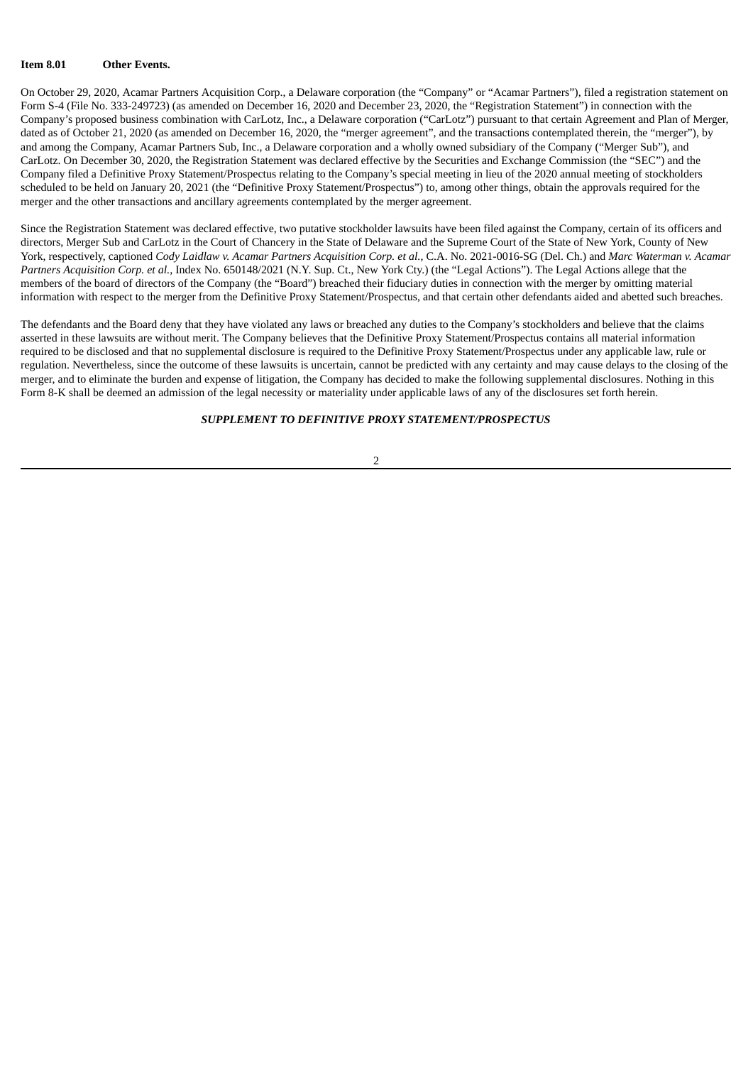#### **Item 8.01 Other Events.**

On October 29, 2020, Acamar Partners Acquisition Corp., a Delaware corporation (the "Company" or "Acamar Partners"), filed a registration statement on Form S-4 (File No. 333-249723) (as amended on December 16, 2020 and December 23, 2020, the "Registration Statement") in connection with the Company's proposed business combination with CarLotz, Inc., a Delaware corporation ("CarLotz") pursuant to that certain Agreement and Plan of Merger, dated as of October 21, 2020 (as amended on December 16, 2020, the "merger agreement", and the transactions contemplated therein, the "merger"), by and among the Company, Acamar Partners Sub, Inc., a Delaware corporation and a wholly owned subsidiary of the Company ("Merger Sub"), and CarLotz. On December 30, 2020, the Registration Statement was declared effective by the Securities and Exchange Commission (the "SEC") and the Company filed a Definitive Proxy Statement/Prospectus relating to the Company's special meeting in lieu of the 2020 annual meeting of stockholders scheduled to be held on January 20, 2021 (the "Definitive Proxy Statement/Prospectus") to, among other things, obtain the approvals required for the merger and the other transactions and ancillary agreements contemplated by the merger agreement.

Since the Registration Statement was declared effective, two putative stockholder lawsuits have been filed against the Company, certain of its officers and directors, Merger Sub and CarLotz in the Court of Chancery in the State of Delaware and the Supreme Court of the State of New York, County of New York, respectively, captioned Cody Laidlaw v. Acamar Partners Acquisition Corp. et al., C.A. No. 2021-0016-SG (Del. Ch.) and Marc Waterman v. Acamar *Partners Acquisition Corp. et al.*, Index No. 650148/2021 (N.Y. Sup. Ct., New York Cty.) (the "Legal Actions"). The Legal Actions allege that the members of the board of directors of the Company (the "Board") breached their fiduciary duties in connection with the merger by omitting material information with respect to the merger from the Definitive Proxy Statement/Prospectus, and that certain other defendants aided and abetted such breaches.

The defendants and the Board deny that they have violated any laws or breached any duties to the Company's stockholders and believe that the claims asserted in these lawsuits are without merit. The Company believes that the Definitive Proxy Statement/Prospectus contains all material information required to be disclosed and that no supplemental disclosure is required to the Definitive Proxy Statement/Prospectus under any applicable law, rule or regulation. Nevertheless, since the outcome of these lawsuits is uncertain, cannot be predicted with any certainty and may cause delays to the closing of the merger, and to eliminate the burden and expense of litigation, the Company has decided to make the following supplemental disclosures. Nothing in this Form 8-K shall be deemed an admission of the legal necessity or materiality under applicable laws of any of the disclosures set forth herein.

#### *SUPPLEMENT TO DEFINITIVE PROXY STATEMENT/PROSPECTUS*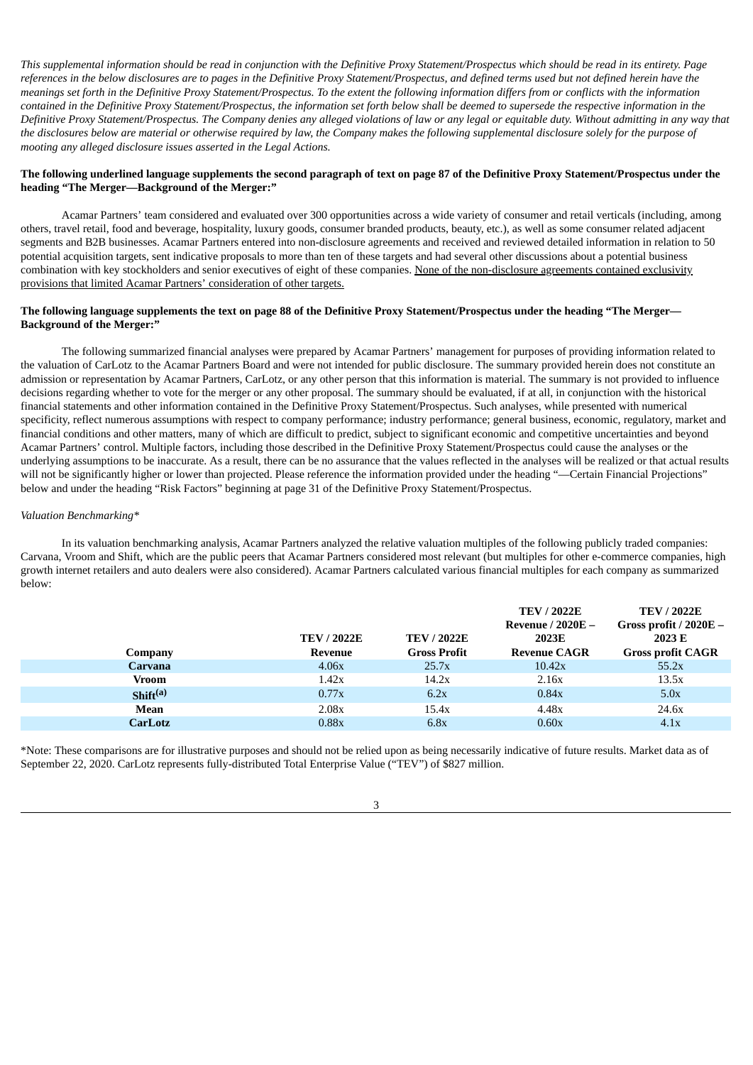This supplemental information should be read in conjunction with the Definitive Proxy Statement/Prospectus which should be read in its entirety. Page references in the below disclosures are to pages in the Definitive Proxy Statement/Prospectus, and defined terms used but not defined herein have the meanings set forth in the Definitive Proxy Statement/Prospectus. To the extent the following information differs from or conflicts with the information contained in the Definitive Proxy Statement/Prospectus, the information set forth below shall be deemed to supersede the respective information in the Definitive Proxy Statement/Prospectus. The Company denies any alleged violations of law or any legal or equitable duty. Without admitting in any way that the disclosures below are material or otherwise required by law, the Company makes the following supplemental disclosure solely for the purpose of *mooting any alleged disclosure issues asserted in the Legal Actions.*

### The following underlined language supplements the second paragraph of text on page 87 of the Definitive Proxy Statement/Prospectus under the **heading "The Merger—Background of the Merger:"**

Acamar Partners' team considered and evaluated over 300 opportunities across a wide variety of consumer and retail verticals (including, among others, travel retail, food and beverage, hospitality, luxury goods, consumer branded products, beauty, etc.), as well as some consumer related adjacent segments and B2B businesses. Acamar Partners entered into non-disclosure agreements and received and reviewed detailed information in relation to 50 potential acquisition targets, sent indicative proposals to more than ten of these targets and had several other discussions about a potential business combination with key stockholders and senior executives of eight of these companies. None of the non-disclosure agreements contained exclusivity provisions that limited Acamar Partners' consideration of other targets.

#### The following language supplements the text on page 88 of the Definitive Proxy Statement/Prospectus under the heading "The Merger-**Background of the Merger:"**

The following summarized financial analyses were prepared by Acamar Partners' management for purposes of providing information related to the valuation of CarLotz to the Acamar Partners Board and were not intended for public disclosure. The summary provided herein does not constitute an admission or representation by Acamar Partners, CarLotz, or any other person that this information is material. The summary is not provided to influence decisions regarding whether to vote for the merger or any other proposal. The summary should be evaluated, if at all, in conjunction with the historical financial statements and other information contained in the Definitive Proxy Statement/Prospectus. Such analyses, while presented with numerical specificity, reflect numerous assumptions with respect to company performance; industry performance; general business, economic, regulatory, market and financial conditions and other matters, many of which are difficult to predict, subject to significant economic and competitive uncertainties and beyond Acamar Partners' control. Multiple factors, including those described in the Definitive Proxy Statement/Prospectus could cause the analyses or the underlying assumptions to be inaccurate. As a result, there can be no assurance that the values reflected in the analyses will be realized or that actual results will not be significantly higher or lower than projected. Please reference the information provided under the heading "-Certain Financial Projections" below and under the heading "Risk Factors" beginning at page 31 of the Definitive Proxy Statement/Prospectus.

#### *Valuation Benchmarking\**

In its valuation benchmarking analysis, Acamar Partners analyzed the relative valuation multiples of the following publicly traded companies: Carvana, Vroom and Shift, which are the public peers that Acamar Partners considered most relevant (but multiples for other e-commerce companies, high growth internet retailers and auto dealers were also considered). Acamar Partners calculated various financial multiples for each company as summarized below:

|                      |                    |                     | <b>TEV / 2022E</b>       | <b>TEV / 2022E</b>       |
|----------------------|--------------------|---------------------|--------------------------|--------------------------|
|                      |                    |                     | <b>Revenue / 2020E –</b> | Gross profit / $2020E -$ |
|                      | <b>TEV / 2022E</b> | <b>TEV / 2022E</b>  | 2023E                    | 2023 E                   |
| Company              | <b>Revenue</b>     | <b>Gross Profit</b> | <b>Revenue CAGR</b>      | <b>Gross profit CAGR</b> |
| Carvana              | 4.06x              | 25.7x               | 10.42x                   | 55.2x                    |
| Vroom                | 1.42x              | 14.2x               | 2.16x                    | 13.5x                    |
| Shift <sup>(a)</sup> | 0.77x              | 6.2x                | 0.84x                    | 5.0x                     |
| Mean                 | 2.08x              | 15.4x               | 4.48x                    | 24.6x                    |
| <b>CarLotz</b>       | 0.88x              | 6.8x                | 0.60x                    | 4.1x                     |
|                      |                    |                     |                          |                          |

\*Note: These comparisons are for illustrative purposes and should not be relied upon as being necessarily indicative of future results. Market data as of September 22, 2020. CarLotz represents fully-distributed Total Enterprise Value ("TEV") of \$827 million.

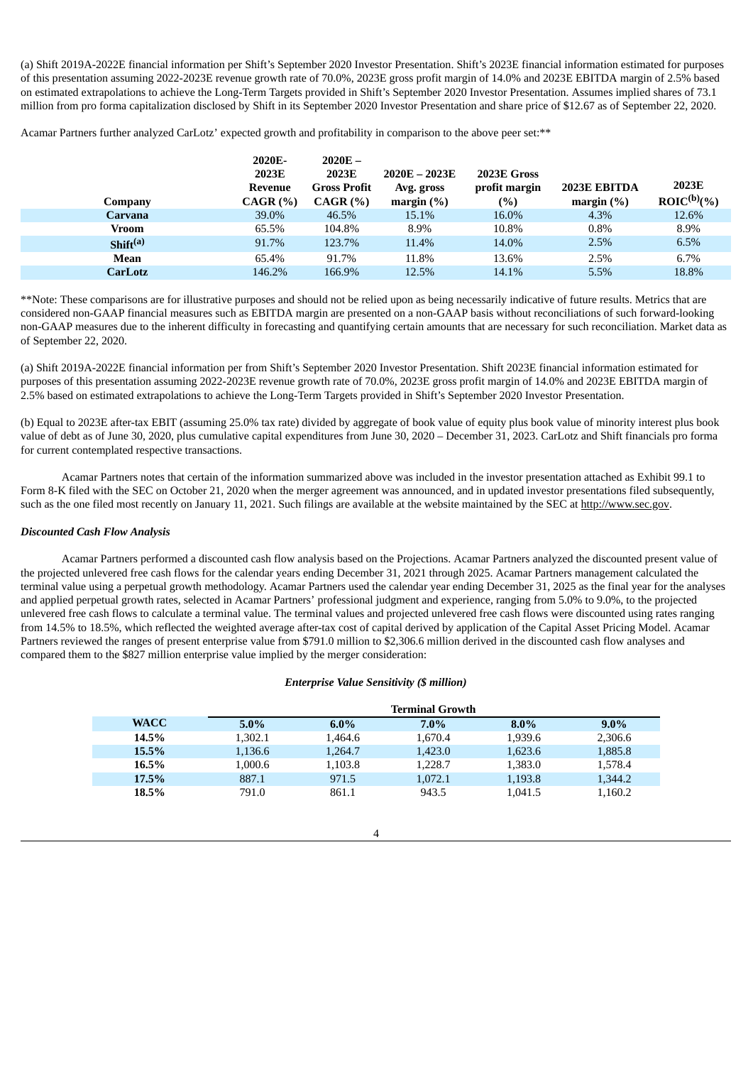(a) Shift 2019A-2022E financial information per Shift's September 2020 Investor Presentation. Shift's 2023E financial information estimated for purposes of this presentation assuming 2022-2023E revenue growth rate of 70.0%, 2023E gross profit margin of 14.0% and 2023E EBITDA margin of 2.5% based on estimated extrapolations to achieve the Long-Term Targets provided in Shift's September 2020 Investor Presentation. Assumes implied shares of 73.1 million from pro forma capitalization disclosed by Shift in its September 2020 Investor Presentation and share price of \$12.67 as of September 22, 2020.

Acamar Partners further analyzed CarLotz' expected growth and profitability in comparison to the above peer set:\*\*

| Company              | 2020E-<br>2023E<br>Revenue<br>$CAGR$ $(\%)$ | $2020E -$<br>2023E<br><b>Gross Profit</b><br>$CAGR$ $(\% )$ | $2020E - 2023E$<br>Avg. gross<br>margin $(\%)$ | 2023E Gross<br>profit margin<br>$(\%)$ | 2023E EBITDA<br>margin $(\%)$ | 2023E<br>$ROIC^{(b)}(\%)$ |
|----------------------|---------------------------------------------|-------------------------------------------------------------|------------------------------------------------|----------------------------------------|-------------------------------|---------------------------|
| Carvana              | 39.0%                                       | 46.5%                                                       | 15.1%                                          | 16.0%                                  | 4.3%                          | 12.6%                     |
| Vroom                | 65.5%                                       | 104.8%                                                      | 8.9%                                           | 10.8%                                  | 0.8%                          | 8.9%                      |
| Shift <sup>(a)</sup> | 91.7%                                       | 123.7%                                                      | 11.4%                                          | 14.0%                                  | 2.5%                          | 6.5%                      |
| Mean                 | 65.4%                                       | 91.7%                                                       | 11.8%                                          | 13.6%                                  | 2.5%                          | 6.7%                      |
| <b>CarLotz</b>       | 146.2%                                      | 166.9%                                                      | 12.5%                                          | 14.1%                                  | 5.5%                          | 18.8%                     |

\*\*Note: These comparisons are for illustrative purposes and should not be relied upon as being necessarily indicative of future results. Metrics that are considered non-GAAP financial measures such as EBITDA margin are presented on a non-GAAP basis without reconciliations of such forward-looking non-GAAP measures due to the inherent difficulty in forecasting and quantifying certain amounts that are necessary for such reconciliation. Market data as of September 22, 2020.

(a) Shift 2019A-2022E financial information per from Shift's September 2020 Investor Presentation. Shift 2023E financial information estimated for purposes of this presentation assuming 2022-2023E revenue growth rate of 70.0%, 2023E gross profit margin of 14.0% and 2023E EBITDA margin of 2.5% based on estimated extrapolations to achieve the Long-Term Targets provided in Shift's September 2020 Investor Presentation.

(b) Equal to 2023E after-tax EBIT (assuming 25.0% tax rate) divided by aggregate of book value of equity plus book value of minority interest plus book value of debt as of June 30, 2020, plus cumulative capital expenditures from June 30, 2020 – December 31, 2023. CarLotz and Shift financials pro forma for current contemplated respective transactions.

Acamar Partners notes that certain of the information summarized above was included in the investor presentation attached as Exhibit 99.1 to Form 8-K filed with the SEC on October 21, 2020 when the merger agreement was announced, and in updated investor presentations filed subsequently, such as the one filed most recently on January 11, 2021. Such filings are available at the website maintained by the SEC at http://www.sec.gov.

#### *Discounted Cash Flow Analysis*

Acamar Partners performed a discounted cash flow analysis based on the Projections. Acamar Partners analyzed the discounted present value of the projected unlevered free cash flows for the calendar years ending December 31, 2021 through 2025. Acamar Partners management calculated the terminal value using a perpetual growth methodology. Acamar Partners used the calendar year ending December 31, 2025 as the final year for the analyses and applied perpetual growth rates, selected in Acamar Partners' professional judgment and experience, ranging from 5.0% to 9.0%, to the projected unlevered free cash flows to calculate a terminal value. The terminal values and projected unlevered free cash flows were discounted using rates ranging from 14.5% to 18.5%, which reflected the weighted average after-tax cost of capital derived by application of the Capital Asset Pricing Model. Acamar Partners reviewed the ranges of present enterprise value from \$791.0 million to \$2,306.6 million derived in the discounted cash flow analyses and compared them to the \$827 million enterprise value implied by the merger consideration:

#### *Enterprise Value Sensitivity (\$ million)*

|             |         |         | <b>Terminal Growth</b> |         |         |
|-------------|---------|---------|------------------------|---------|---------|
| <b>WACC</b> | $5.0\%$ | $6.0\%$ | $7.0\%$                | $8.0\%$ | $9.0\%$ |
| 14.5%       | 1.302.1 | 1.464.6 | 1.670.4                | 1.939.6 | 2,306.6 |
| 15.5%       | 1,136.6 | 1.264.7 | 1.423.0                | 1,623.6 | 1,885.8 |
| 16.5%       | 1.000.6 | 1.103.8 | 1.228.7                | 1,383.0 | 1,578.4 |
| $17.5\%$    | 887.1   | 971.5   | 1,072.1                | 1,193.8 | 1,344.2 |
| 18.5%       | 791.0   | 861.1   | 943.5                  | 1,041.5 | 1.160.2 |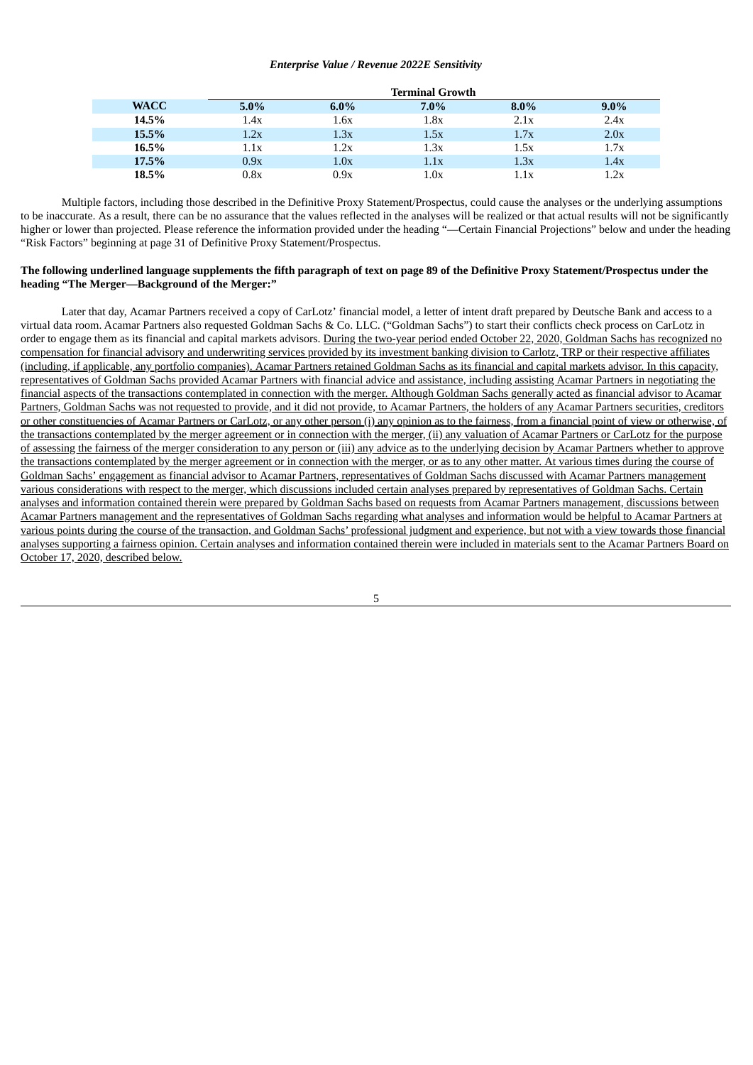#### *Enterprise Value / Revenue 2022E Sensitivity*

|             |         |         | <b>Terminal Growth</b> |         |         |
|-------------|---------|---------|------------------------|---------|---------|
| <b>WACC</b> | $5.0\%$ | $6.0\%$ | $7.0\%$                | $8.0\%$ | $9.0\%$ |
| 14.5%       | 1.4x    | 1.6x    | 1.8x                   | 2.1x    | 2.4x    |
| 15.5%       | 1.2x    | 1.3x    | 1.5x                   | 1.7x    | 2.0x    |
| 16.5%       | 1.1x    | 1.2x    | 1.3x                   | 1.5x    | 1.7x    |
| 17.5%       | 0.9x    | 1.0x    | 1.1x                   | 1.3x    | 1.4x    |
| 18.5%       | 0.8x    | 0.9x    | 1.0x                   | 1.1x    | 1.2x    |

Multiple factors, including those described in the Definitive Proxy Statement/Prospectus, could cause the analyses or the underlying assumptions to be inaccurate. As a result, there can be no assurance that the values reflected in the analyses will be realized or that actual results will not be significantly higher or lower than projected. Please reference the information provided under the heading "—Certain Financial Projections" below and under the heading "Risk Factors" beginning at page 31 of Definitive Proxy Statement/Prospectus.

#### The following underlined language supplements the fifth paragraph of text on page 89 of the Definitive Proxy Statement/Prospectus under the **heading "The Merger—Background of the Merger:"**

Later that day, Acamar Partners received a copy of CarLotz' financial model, a letter of intent draft prepared by Deutsche Bank and access to a virtual data room. Acamar Partners also requested Goldman Sachs & Co. LLC. ("Goldman Sachs") to start their conflicts check process on CarLotz in order to engage them as its financial and capital markets advisors. During the two-year period ended October 22, 2020, Goldman Sachs has recognized no compensation for financial advisory and underwriting services provided by its investment banking division to Carlotz, TRP or their respective affiliates (including, if applicable, any portfolio companies). Acamar Partners retained Goldman Sachs as its financial and capital markets advisor. In this capacity, representatives of Goldman Sachs provided Acamar Partners with financial advice and assistance, including assisting Acamar Partners in negotiating the financial aspects of the transactions contemplated in connection with the merger. Although Goldman Sachs generally acted as financial advisor to Acamar Partners, Goldman Sachs was not requested to provide, and it did not provide, to Acamar Partners, the holders of any Acamar Partners securities, creditors or other constituencies of Acamar Partners or CarLotz, or any other person (i) any opinion as to the fairness, from a financial point of view or otherwise, of the transactions contemplated by the merger agreement or in connection with the merger, (ii) any valuation of Acamar Partners or CarLotz for the purpose of assessing the fairness of the merger consideration to any person or (iii) any advice as to the underlying decision by Acamar Partners whether to approve the transactions contemplated by the merger agreement or in connection with the merger, or as to any other matter. At various times during the course of Goldman Sachs' engagement as financial advisor to Acamar Partners, representatives of Goldman Sachs discussed with Acamar Partners management various considerations with respect to the merger, which discussions included certain analyses prepared by representatives of Goldman Sachs. Certain analyses and information contained therein were prepared by Goldman Sachs based on requests from Acamar Partners management, discussions between Acamar Partners management and the representatives of Goldman Sachs regarding what analyses and information would be helpful to Acamar Partners at various points during the course of the transaction, and Goldman Sachs' professional judgment and experience, but not with a view towards those financial analyses supporting a fairness opinion. Certain analyses and information contained therein were included in materials sent to the Acamar Partners Board on October 17, 2020, described below.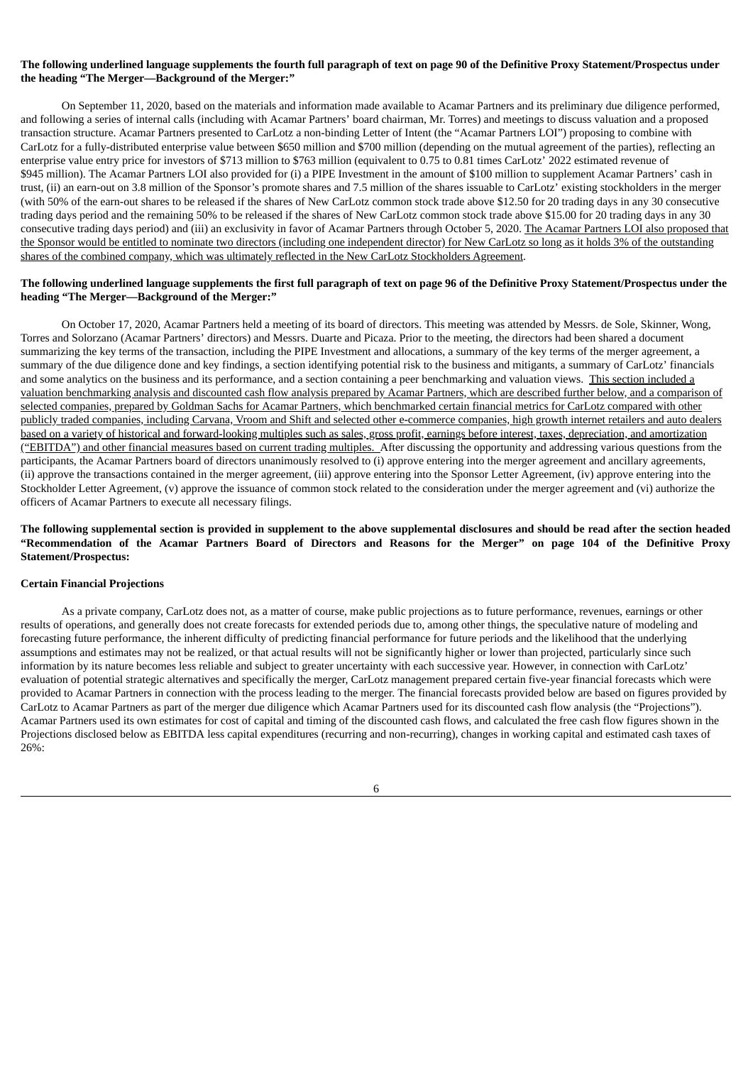## The following underlined language supplements the fourth full paragraph of text on page 90 of the Definitive Proxy Statement/Prospectus under **the heading "The Merger—Background of the Merger:"**

On September 11, 2020, based on the materials and information made available to Acamar Partners and its preliminary due diligence performed, and following a series of internal calls (including with Acamar Partners' board chairman, Mr. Torres) and meetings to discuss valuation and a proposed transaction structure. Acamar Partners presented to CarLotz a non-binding Letter of Intent (the "Acamar Partners LOI") proposing to combine with CarLotz for a fully-distributed enterprise value between \$650 million and \$700 million (depending on the mutual agreement of the parties), reflecting an enterprise value entry price for investors of \$713 million to \$763 million (equivalent to 0.75 to 0.81 times CarLotz' 2022 estimated revenue of \$945 million). The Acamar Partners LOI also provided for (i) a PIPE Investment in the amount of \$100 million to supplement Acamar Partners' cash in trust, (ii) an earn-out on 3.8 million of the Sponsor's promote shares and 7.5 million of the shares issuable to CarLotz' existing stockholders in the merger (with 50% of the earn-out shares to be released if the shares of New CarLotz common stock trade above \$12.50 for 20 trading days in any 30 consecutive trading days period and the remaining 50% to be released if the shares of New CarLotz common stock trade above \$15.00 for 20 trading days in any 30 consecutive trading days period) and (iii) an exclusivity in favor of Acamar Partners through October 5, 2020. The Acamar Partners LOI also proposed that the Sponsor would be entitled to nominate two directors (including one independent director) for New CarLotz so long as it holds 3% of the outstanding shares of the combined company, which was ultimately reflected in the New CarLotz Stockholders Agreement.

#### The following underlined language supplements the first full paragraph of text on page 96 of the Definitive Proxy Statement/Prospectus under the **heading "The Merger—Background of the Merger:"**

On October 17, 2020, Acamar Partners held a meeting of its board of directors. This meeting was attended by Messrs. de Sole, Skinner, Wong, Torres and Solorzano (Acamar Partners' directors) and Messrs. Duarte and Picaza. Prior to the meeting, the directors had been shared a document summarizing the key terms of the transaction, including the PIPE Investment and allocations, a summary of the key terms of the merger agreement, a summary of the due diligence done and key findings, a section identifying potential risk to the business and mitigants, a summary of CarLotz' financials and some analytics on the business and its performance, and a section containing a peer benchmarking and valuation views. This section included a valuation benchmarking analysis and discounted cash flow analysis prepared by Acamar Partners, which are described further below, and a comparison of selected companies, prepared by Goldman Sachs for Acamar Partners, which benchmarked certain financial metrics for CarLotz compared with other publicly traded companies, including Carvana, Vroom and Shift and selected other e-commerce companies, high growth internet retailers and auto dealers based on a variety of historical and forward-looking multiples such as sales, gross profit, earnings before interest, taxes, depreciation, and amortization ("EBITDA") and other financial measures based on current trading multiples. After discussing the opportunity and addressing various questions from the participants, the Acamar Partners board of directors unanimously resolved to (i) approve entering into the merger agreement and ancillary agreements, (ii) approve the transactions contained in the merger agreement, (iii) approve entering into the Sponsor Letter Agreement, (iv) approve entering into the Stockholder Letter Agreement, (v) approve the issuance of common stock related to the consideration under the merger agreement and (vi) authorize the officers of Acamar Partners to execute all necessary filings.

### The following supplemental section is provided in supplement to the above supplemental disclosures and should be read after the section headed "Recommendation of the Acamar Partners Board of Directors and Reasons for the Merger" on page 104 of the Definitive Proxy **Statement/Prospectus:**

#### **Certain Financial Projections**

As a private company, CarLotz does not, as a matter of course, make public projections as to future performance, revenues, earnings or other results of operations, and generally does not create forecasts for extended periods due to, among other things, the speculative nature of modeling and forecasting future performance, the inherent difficulty of predicting financial performance for future periods and the likelihood that the underlying assumptions and estimates may not be realized, or that actual results will not be significantly higher or lower than projected, particularly since such information by its nature becomes less reliable and subject to greater uncertainty with each successive year. However, in connection with CarLotz' evaluation of potential strategic alternatives and specifically the merger, CarLotz management prepared certain five-year financial forecasts which were provided to Acamar Partners in connection with the process leading to the merger. The financial forecasts provided below are based on figures provided by CarLotz to Acamar Partners as part of the merger due diligence which Acamar Partners used for its discounted cash flow analysis (the "Projections"). Acamar Partners used its own estimates for cost of capital and timing of the discounted cash flows, and calculated the free cash flow figures shown in the Projections disclosed below as EBITDA less capital expenditures (recurring and non-recurring), changes in working capital and estimated cash taxes of 26%: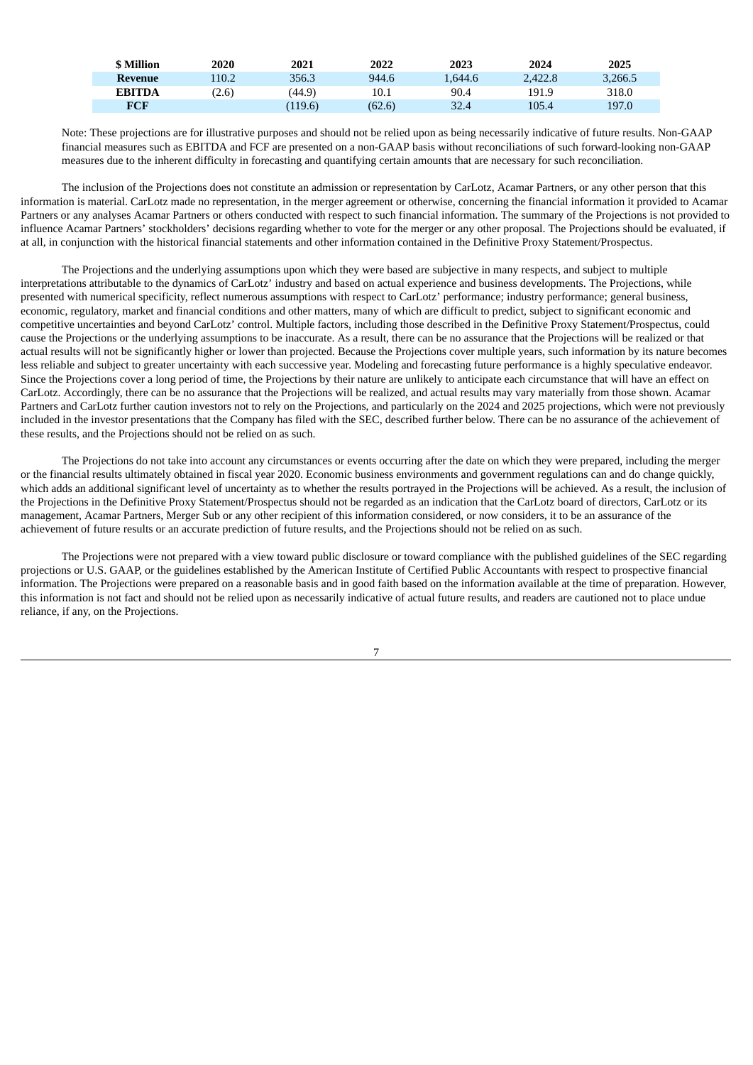| \$ Million | 2020  | 2021   | 2022   | 2023    | 2024    | 2025    |
|------------|-------|--------|--------|---------|---------|---------|
| Revenue    | .10.2 | 356.3  | 944.6  | 1.644.6 | 2.422.8 | 3,266.5 |
| EBITDA     | (2.6) | (44.9) | 10.1   | 90.4    | 191.9   | 318.0   |
| FCF        |       | 119.6) | (62.6) | 32.4    | 105.4   | 197.0   |

Note: These projections are for illustrative purposes and should not be relied upon as being necessarily indicative of future results. Non-GAAP financial measures such as EBITDA and FCF are presented on a non-GAAP basis without reconciliations of such forward-looking non-GAAP measures due to the inherent difficulty in forecasting and quantifying certain amounts that are necessary for such reconciliation.

The inclusion of the Projections does not constitute an admission or representation by CarLotz, Acamar Partners, or any other person that this information is material. CarLotz made no representation, in the merger agreement or otherwise, concerning the financial information it provided to Acamar Partners or any analyses Acamar Partners or others conducted with respect to such financial information. The summary of the Projections is not provided to influence Acamar Partners' stockholders' decisions regarding whether to vote for the merger or any other proposal. The Projections should be evaluated, if at all, in conjunction with the historical financial statements and other information contained in the Definitive Proxy Statement/Prospectus.

The Projections and the underlying assumptions upon which they were based are subjective in many respects, and subject to multiple interpretations attributable to the dynamics of CarLotz' industry and based on actual experience and business developments. The Projections, while presented with numerical specificity, reflect numerous assumptions with respect to CarLotz' performance; industry performance; general business, economic, regulatory, market and financial conditions and other matters, many of which are difficult to predict, subject to significant economic and competitive uncertainties and beyond CarLotz' control. Multiple factors, including those described in the Definitive Proxy Statement/Prospectus, could cause the Projections or the underlying assumptions to be inaccurate. As a result, there can be no assurance that the Projections will be realized or that actual results will not be significantly higher or lower than projected. Because the Projections cover multiple years, such information by its nature becomes less reliable and subject to greater uncertainty with each successive year. Modeling and forecasting future performance is a highly speculative endeavor. Since the Projections cover a long period of time, the Projections by their nature are unlikely to anticipate each circumstance that will have an effect on CarLotz. Accordingly, there can be no assurance that the Projections will be realized, and actual results may vary materially from those shown. Acamar Partners and CarLotz further caution investors not to rely on the Projections, and particularly on the 2024 and 2025 projections, which were not previously included in the investor presentations that the Company has filed with the SEC, described further below. There can be no assurance of the achievement of these results, and the Projections should not be relied on as such.

The Projections do not take into account any circumstances or events occurring after the date on which they were prepared, including the merger or the financial results ultimately obtained in fiscal year 2020. Economic business environments and government regulations can and do change quickly, which adds an additional significant level of uncertainty as to whether the results portrayed in the Projections will be achieved. As a result, the inclusion of the Projections in the Definitive Proxy Statement/Prospectus should not be regarded as an indication that the CarLotz board of directors, CarLotz or its management, Acamar Partners, Merger Sub or any other recipient of this information considered, or now considers, it to be an assurance of the achievement of future results or an accurate prediction of future results, and the Projections should not be relied on as such.

The Projections were not prepared with a view toward public disclosure or toward compliance with the published guidelines of the SEC regarding projections or U.S. GAAP, or the guidelines established by the American Institute of Certified Public Accountants with respect to prospective financial information. The Projections were prepared on a reasonable basis and in good faith based on the information available at the time of preparation. However, this information is not fact and should not be relied upon as necessarily indicative of actual future results, and readers are cautioned not to place undue reliance, if any, on the Projections.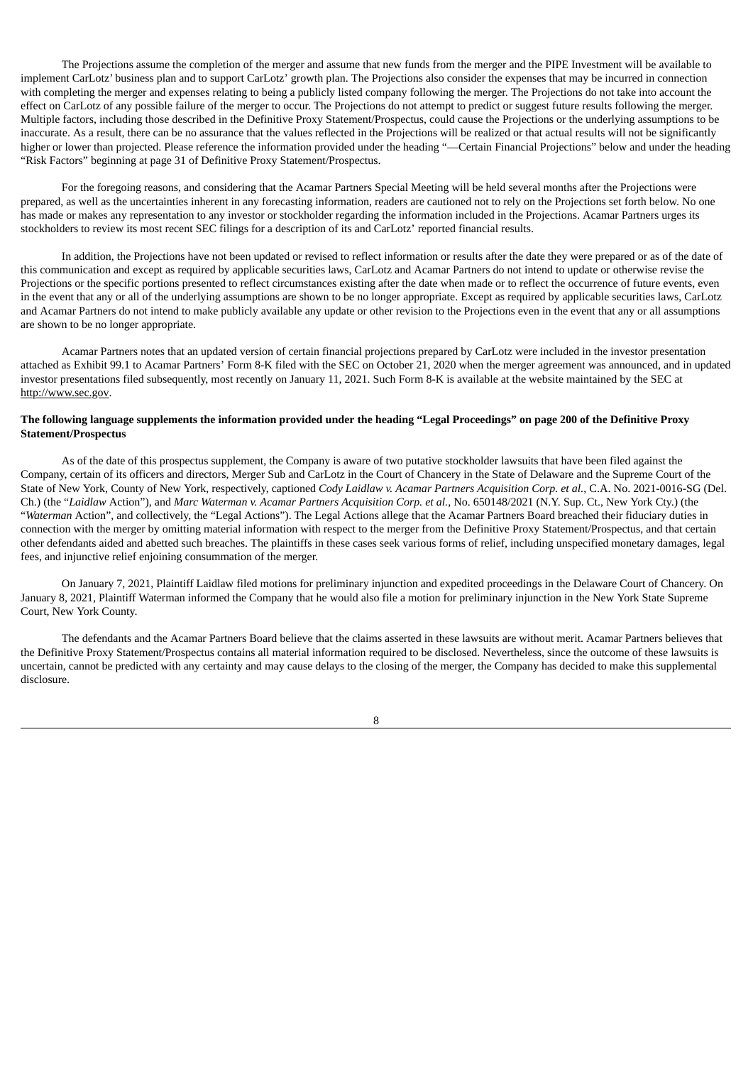The Projections assume the completion of the merger and assume that new funds from the merger and the PIPE Investment will be available to implement CarLotz' business plan and to support CarLotz' growth plan. The Projections also consider the expenses that may be incurred in connection with completing the merger and expenses relating to being a publicly listed company following the merger. The Projections do not take into account the effect on CarLotz of any possible failure of the merger to occur. The Projections do not attempt to predict or suggest future results following the merger. Multiple factors, including those described in the Definitive Proxy Statement/Prospectus, could cause the Projections or the underlying assumptions to be inaccurate. As a result, there can be no assurance that the values reflected in the Projections will be realized or that actual results will not be significantly higher or lower than projected. Please reference the information provided under the heading "—Certain Financial Projections" below and under the heading "Risk Factors" beginning at page 31 of Definitive Proxy Statement/Prospectus.

For the foregoing reasons, and considering that the Acamar Partners Special Meeting will be held several months after the Projections were prepared, as well as the uncertainties inherent in any forecasting information, readers are cautioned not to rely on the Projections set forth below. No one has made or makes any representation to any investor or stockholder regarding the information included in the Projections. Acamar Partners urges its stockholders to review its most recent SEC filings for a description of its and CarLotz' reported financial results.

In addition, the Projections have not been updated or revised to reflect information or results after the date they were prepared or as of the date of this communication and except as required by applicable securities laws, CarLotz and Acamar Partners do not intend to update or otherwise revise the Projections or the specific portions presented to reflect circumstances existing after the date when made or to reflect the occurrence of future events, even in the event that any or all of the underlying assumptions are shown to be no longer appropriate. Except as required by applicable securities laws, CarLotz and Acamar Partners do not intend to make publicly available any update or other revision to the Projections even in the event that any or all assumptions are shown to be no longer appropriate.

Acamar Partners notes that an updated version of certain financial projections prepared by CarLotz were included in the investor presentation attached as Exhibit 99.1 to Acamar Partners' Form 8-K filed with the SEC on October 21, 2020 when the merger agreement was announced, and in updated investor presentations filed subsequently, most recently on January 11, 2021. Such Form 8-K is available at the website maintained by the SEC at http://www.sec.gov.

#### The following language supplements the information provided under the heading "Legal Proceedings" on page 200 of the Definitive Proxy **Statement/Prospectus**

As of the date of this prospectus supplement, the Company is aware of two putative stockholder lawsuits that have been filed against the Company, certain of its officers and directors, Merger Sub and CarLotz in the Court of Chancery in the State of Delaware and the Supreme Court of the State of New York, County of New York, respectively, captioned *Cody Laidlaw v. Acamar Partners Acquisition Corp. et al.*, C.A. No. 2021-0016-SG (Del. Ch.) (the "*Laidlaw* Action"), and *Marc Waterman v. Acamar Partners Acquisition Corp. et al.*, No. 650148/2021 (N.Y. Sup. Ct., New York Cty.) (the "*Waterman* Action", and collectively, the "Legal Actions"). The Legal Actions allege that the Acamar Partners Board breached their fiduciary duties in connection with the merger by omitting material information with respect to the merger from the Definitive Proxy Statement/Prospectus, and that certain other defendants aided and abetted such breaches. The plaintiffs in these cases seek various forms of relief, including unspecified monetary damages, legal fees, and injunctive relief enjoining consummation of the merger.

On January 7, 2021, Plaintiff Laidlaw filed motions for preliminary injunction and expedited proceedings in the Delaware Court of Chancery. On January 8, 2021, Plaintiff Waterman informed the Company that he would also file a motion for preliminary injunction in the New York State Supreme Court, New York County.

The defendants and the Acamar Partners Board believe that the claims asserted in these lawsuits are without merit. Acamar Partners believes that the Definitive Proxy Statement/Prospectus contains all material information required to be disclosed. Nevertheless, since the outcome of these lawsuits is uncertain, cannot be predicted with any certainty and may cause delays to the closing of the merger, the Company has decided to make this supplemental disclosure.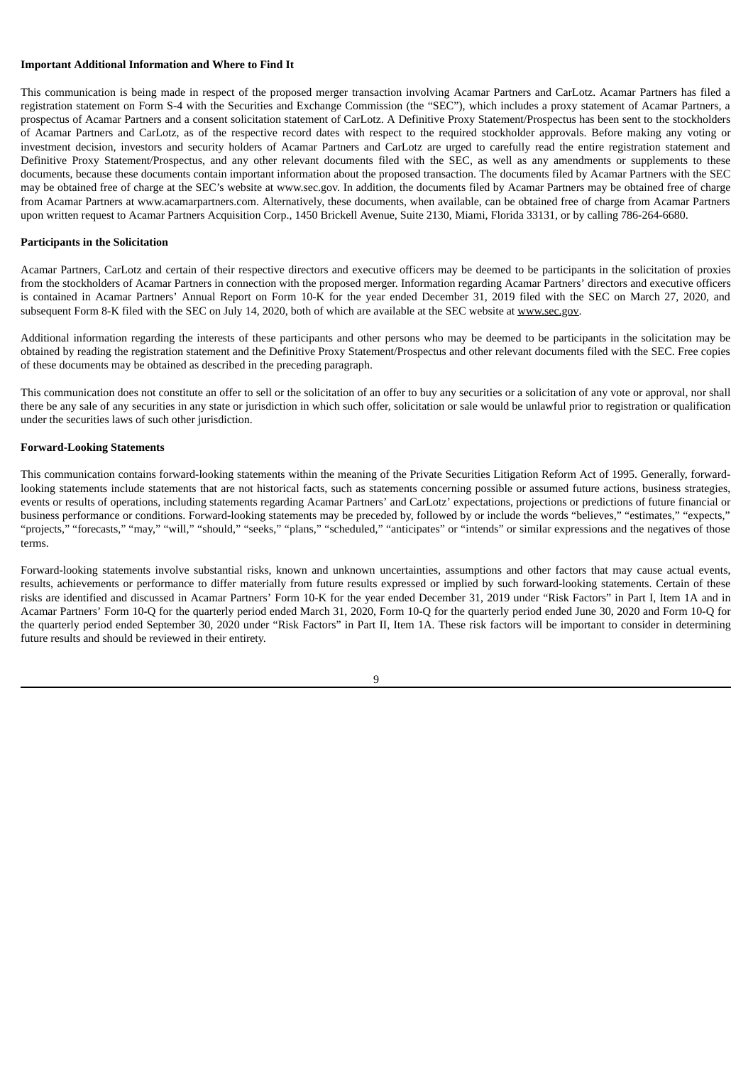#### **Important Additional Information and Where to Find It**

This communication is being made in respect of the proposed merger transaction involving Acamar Partners and CarLotz. Acamar Partners has filed a registration statement on Form S-4 with the Securities and Exchange Commission (the "SEC"), which includes a proxy statement of Acamar Partners, a prospectus of Acamar Partners and a consent solicitation statement of CarLotz. A Definitive Proxy Statement/Prospectus has been sent to the stockholders of Acamar Partners and CarLotz, as of the respective record dates with respect to the required stockholder approvals. Before making any voting or investment decision, investors and security holders of Acamar Partners and CarLotz are urged to carefully read the entire registration statement and Definitive Proxy Statement/Prospectus, and any other relevant documents filed with the SEC, as well as any amendments or supplements to these documents, because these documents contain important information about the proposed transaction. The documents filed by Acamar Partners with the SEC may be obtained free of charge at the SEC's website at www.sec.gov. In addition, the documents filed by Acamar Partners may be obtained free of charge from Acamar Partners at www.acamarpartners.com. Alternatively, these documents, when available, can be obtained free of charge from Acamar Partners upon written request to Acamar Partners Acquisition Corp., 1450 Brickell Avenue, Suite 2130, Miami, Florida 33131, or by calling 786-264-6680.

#### **Participants in the Solicitation**

Acamar Partners, CarLotz and certain of their respective directors and executive officers may be deemed to be participants in the solicitation of proxies from the stockholders of Acamar Partners in connection with the proposed merger. Information regarding Acamar Partners' directors and executive officers is contained in Acamar Partners' Annual Report on Form 10-K for the year ended December 31, 2019 filed with the SEC on March 27, 2020, and subsequent Form 8-K filed with the SEC on July 14, 2020, both of which are available at the SEC website at www.sec.gov.

Additional information regarding the interests of these participants and other persons who may be deemed to be participants in the solicitation may be obtained by reading the registration statement and the Definitive Proxy Statement/Prospectus and other relevant documents filed with the SEC. Free copies of these documents may be obtained as described in the preceding paragraph.

This communication does not constitute an offer to sell or the solicitation of an offer to buy any securities or a solicitation of any vote or approval, nor shall there be any sale of any securities in any state or jurisdiction in which such offer, solicitation or sale would be unlawful prior to registration or qualification under the securities laws of such other jurisdiction.

#### **Forward-Looking Statements**

This communication contains forward-looking statements within the meaning of the Private Securities Litigation Reform Act of 1995. Generally, forwardlooking statements include statements that are not historical facts, such as statements concerning possible or assumed future actions, business strategies, events or results of operations, including statements regarding Acamar Partners' and CarLotz' expectations, projections or predictions of future financial or business performance or conditions. Forward-looking statements may be preceded by, followed by or include the words "believes," "estimates," "expects," "projects," "forecasts," "may," "will," "should," "seeks," "plans," "scheduled," "anticipates" or "intends" or similar expressions and the negatives of those terms.

Forward-looking statements involve substantial risks, known and unknown uncertainties, assumptions and other factors that may cause actual events, results, achievements or performance to differ materially from future results expressed or implied by such forward-looking statements. Certain of these risks are identified and discussed in Acamar Partners' Form 10-K for the year ended December 31, 2019 under "Risk Factors" in Part I, Item 1A and in Acamar Partners' Form 10-Q for the quarterly period ended March 31, 2020, Form 10-Q for the quarterly period ended June 30, 2020 and Form 10-Q for the quarterly period ended September 30, 2020 under "Risk Factors" in Part II, Item 1A. These risk factors will be important to consider in determining future results and should be reviewed in their entirety.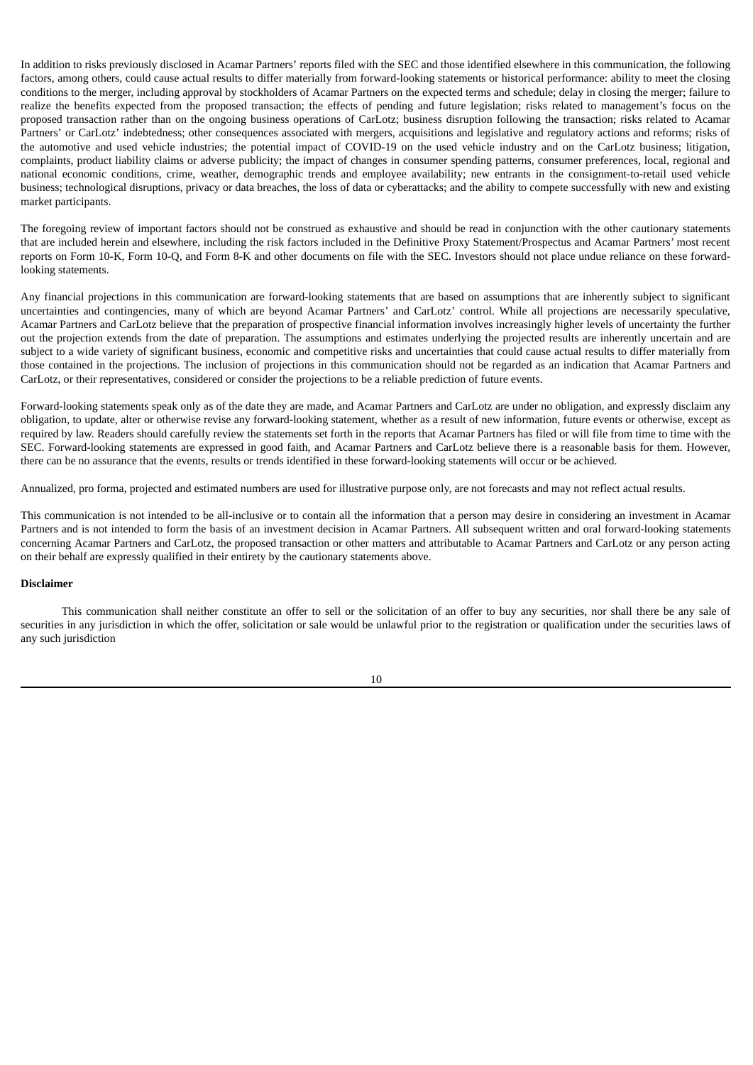In addition to risks previously disclosed in Acamar Partners' reports filed with the SEC and those identified elsewhere in this communication, the following factors, among others, could cause actual results to differ materially from forward-looking statements or historical performance: ability to meet the closing conditions to the merger, including approval by stockholders of Acamar Partners on the expected terms and schedule; delay in closing the merger; failure to realize the benefits expected from the proposed transaction; the effects of pending and future legislation; risks related to management's focus on the proposed transaction rather than on the ongoing business operations of CarLotz; business disruption following the transaction; risks related to Acamar Partners' or CarLotz' indebtedness; other consequences associated with mergers, acquisitions and legislative and regulatory actions and reforms; risks of the automotive and used vehicle industries; the potential impact of COVID-19 on the used vehicle industry and on the CarLotz business; litigation, complaints, product liability claims or adverse publicity; the impact of changes in consumer spending patterns, consumer preferences, local, regional and national economic conditions, crime, weather, demographic trends and employee availability; new entrants in the consignment-to-retail used vehicle business; technological disruptions, privacy or data breaches, the loss of data or cyberattacks; and the ability to compete successfully with new and existing market participants.

The foregoing review of important factors should not be construed as exhaustive and should be read in conjunction with the other cautionary statements that are included herein and elsewhere, including the risk factors included in the Definitive Proxy Statement/Prospectus and Acamar Partners' most recent reports on Form 10-K, Form 10-Q, and Form 8-K and other documents on file with the SEC. Investors should not place undue reliance on these forwardlooking statements.

Any financial projections in this communication are forward-looking statements that are based on assumptions that are inherently subject to significant uncertainties and contingencies, many of which are beyond Acamar Partners' and CarLotz' control. While all projections are necessarily speculative, Acamar Partners and CarLotz believe that the preparation of prospective financial information involves increasingly higher levels of uncertainty the further out the projection extends from the date of preparation. The assumptions and estimates underlying the projected results are inherently uncertain and are subject to a wide variety of significant business, economic and competitive risks and uncertainties that could cause actual results to differ materially from those contained in the projections. The inclusion of projections in this communication should not be regarded as an indication that Acamar Partners and CarLotz, or their representatives, considered or consider the projections to be a reliable prediction of future events.

Forward-looking statements speak only as of the date they are made, and Acamar Partners and CarLotz are under no obligation, and expressly disclaim any obligation, to update, alter or otherwise revise any forward-looking statement, whether as a result of new information, future events or otherwise, except as required by law. Readers should carefully review the statements set forth in the reports that Acamar Partners has filed or will file from time to time with the SEC. Forward-looking statements are expressed in good faith, and Acamar Partners and CarLotz believe there is a reasonable basis for them. However, there can be no assurance that the events, results or trends identified in these forward-looking statements will occur or be achieved.

Annualized, pro forma, projected and estimated numbers are used for illustrative purpose only, are not forecasts and may not reflect actual results.

This communication is not intended to be all-inclusive or to contain all the information that a person may desire in considering an investment in Acamar Partners and is not intended to form the basis of an investment decision in Acamar Partners. All subsequent written and oral forward-looking statements concerning Acamar Partners and CarLotz, the proposed transaction or other matters and attributable to Acamar Partners and CarLotz or any person acting on their behalf are expressly qualified in their entirety by the cautionary statements above.

#### **Disclaimer**

This communication shall neither constitute an offer to sell or the solicitation of an offer to buy any securities, nor shall there be any sale of securities in any jurisdiction in which the offer, solicitation or sale would be unlawful prior to the registration or qualification under the securities laws of any such jurisdiction